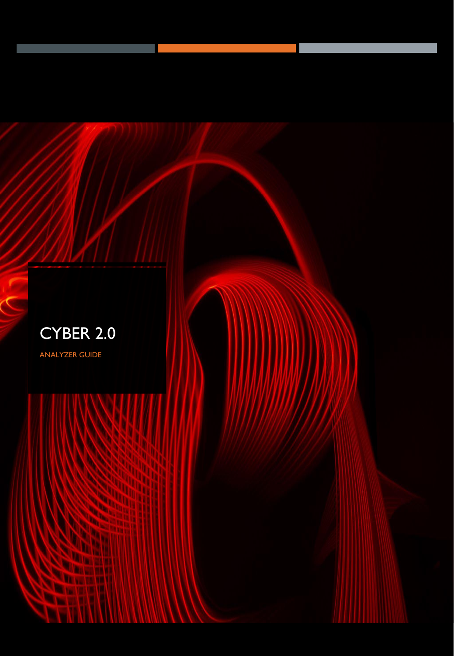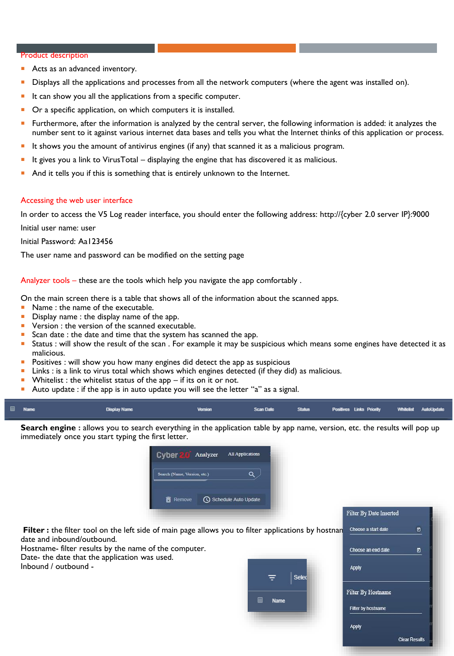#### Product description

- Acts as an advanced inventory.
- Displays all the applications and processes from all the network computers (where the agent was installed on).
- It can show you all the applications from a specific computer.
- Or a specific application, on which computers it is installed.
- Furthermore, after the information is analyzed by the central server, the following information is added: it analyzes the number sent to it against various internet data bases and tells you what the Internet thinks of this application or process.
- It shows you the amount of antivirus engines (if any) that scanned it as a malicious program.
- It gives you a link to VirusTotal displaying the engine that has discovered it as malicious.
- And it tells you if this is something that is entirely unknown to the Internet.

#### Accessing the web user interface

In order to access the V5 Log reader interface, you should enter the following address: http://{cyber 2.0 server IP}:9000

Initial user name: user

Initial Password: Aa123456

The user name and password can be modified on the setting page

Analyzer tools – these are the tools which help you navigate the app comfortably .

On the main screen there is a table that shows all of the information about the scanned apps.

- Name : the name of the executable.
- Display name: the display name of the app.
- **Version : the version of the scanned executable.**
- Scan date : the date and time that the system has scanned the app.
- Status : will show the result of the scan . For example it may be suspicious which means some engines have detected it as malicious.
- **Positives : will show you how many engines did detect the app as suspicious**
- Links : is a link to virus total which shows which engines detected (if they did) as malicious.
- Whitelist : the whitelist status of the app if its on it or not.
- Auto update : if the app is in auto update you will see the letter "a" as a signal.

| Name<br>Scan Date Status Positives Links Priority Whitelist AutoUpdate<br><b>Display Name</b><br><b>Version</b> |  |
|-----------------------------------------------------------------------------------------------------------------|--|
|-----------------------------------------------------------------------------------------------------------------|--|

**Search engine :** allows you to search everything in the application table by app name, version, etc. the results will pop up immediately once you start typing the first letter.



Filter : the filter tool on the left side of main page allows you to filter applications by hostnan date and inbound/outbound.

Hostname- filter results by the name of the computer. Date- the date that the application was used.

Inbound / outbound -



| <b>Filter By Date Inserted</b> |                      |
|--------------------------------|----------------------|
| Choose a start date            | o                    |
| Choose an end date             | జ                    |
| <b>Apply</b>                   |                      |
| <b>Filter By Hostname</b>      |                      |
| Filter by hostname             |                      |
| <b>Apply</b>                   |                      |
|                                | <b>Clear Results</b> |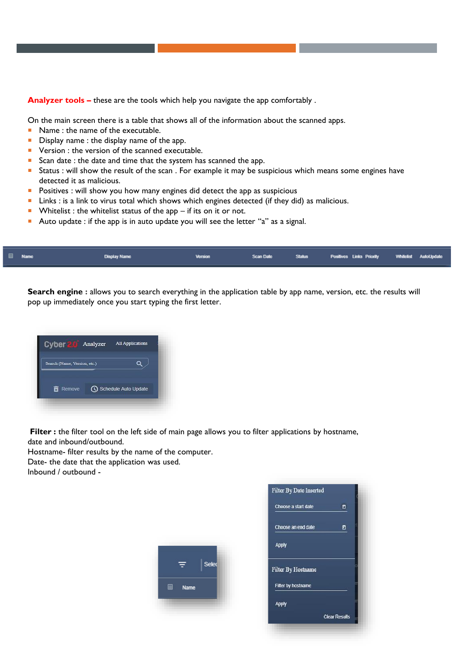**Analyzer tools –** these are the tools which help you navigate the app comfortably .

On the main screen there is a table that shows all of the information about the scanned apps.

- Name : the name of the executable.
- Display name: the display name of the app.
- **Version : the version of the scanned executable.**
- Scan date : the date and time that the system has scanned the app.
- Status : will show the result of the scan . For example it may be suspicious which means some engines have detected it as malicious.
- **Positives : will show you how many engines did detect the app as suspicious**
- **Links** : is a link to virus total which shows which engines detected (if they did) as malicious.
- Whitelist : the whitelist status of the app  $-$  if its on it or not.
- Auto update : if the app is in auto update you will see the letter "a" as a signal.

| Name | <b>Display Name</b> | <b>Version</b> |  | Scan Date Status Positives Links Priority Whitelist AutoUpdate |  |
|------|---------------------|----------------|--|----------------------------------------------------------------|--|
|      |                     |                |  |                                                                |  |

**Search engine :** allows you to search everything in the application table by app name, version, etc. the results will pop up immediately once you start typing the first letter.



**Filter :** the filter tool on the left side of main page allows you to filter applications by hostname, date and inbound/outbound.

Hostname- filter results by the name of the computer.

Date- the date that the application was used. Inbound / outbound -



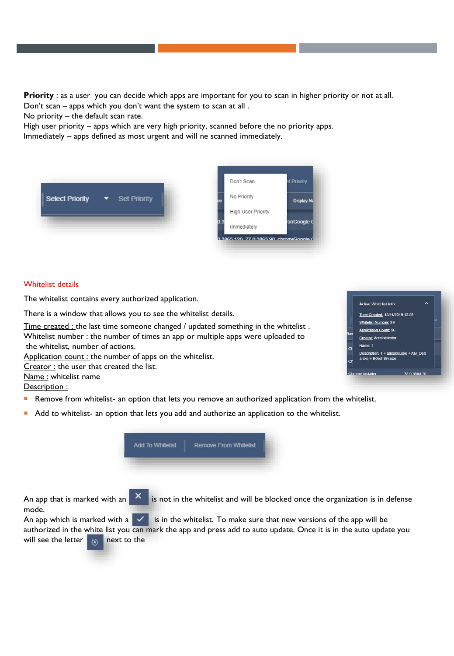**Priority** : as a user you can decide which apps are important for you to scan in higher priority or not at all. Don't scan – apps which you don't want the system to scan at all .

No priority – the default scan rate.

High user priority – apps which are very high priority, scanned before the no priority apps.

Immediately – apps defined as most urgent and will ne scanned immediately.



### Whitelist details

The whitelist contains every authorized application.

There is a window that allows you to see the whitelist details.

Time created : the last time someone changed / updated something in the whitelist. Whitelist number : the number of times an app or multiple apps were uploaded to the whitelist, number of actions.

Application count : the number of apps on the whitelist.

Creator : the user that created the list.

Name : whitelist name

Description :

- Remove from whitelist- an option that lets you remove an authorized application from the whitelist.
- Add to whitelist- an option that lets you add and authorize an application to the whitelist.



An app that is marked with an  $\overline{X}$  is not in the whitelist and will be blocked once the organization is in defense mode.

An app which is marked with a  $\sim$  is in the whitelist. To make sure that new versions of the app will be authorized in the white list you can mark the app and press add to auto update. Once it is in the auto update you will see the letter  $\overline{m}$  next to the

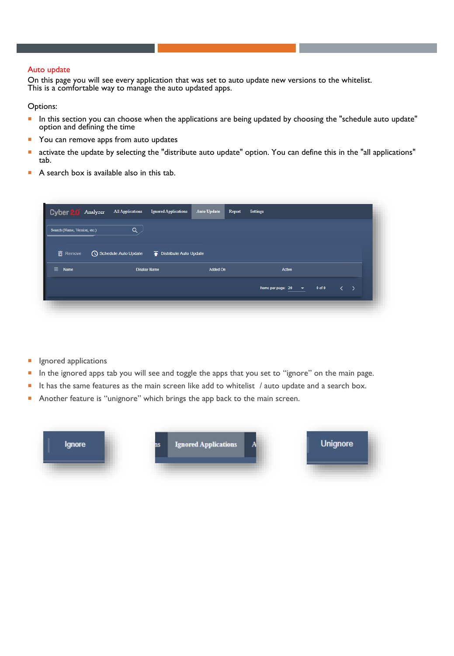## Auto update

On this page you will see every application that was set to auto update new versions to the whitelist. This is a comfortable way to manage the auto updated apps.

Options:

- In this section you can choose when the applications are being updated by choosing the "schedule auto update" option and defining the time
- You can remove apps from auto updates
- activate the update by selecting the "distribute auto update" option. You can define this in the "all applications" tab.
- A search box is available also in this tab.

| Cyber 2.0 Analyzer           | <b>All Applications</b> | <b>Ignored Applications</b> | <b>Auto Update</b> | Report | <b>Settings</b>          |            |                   |  |
|------------------------------|-------------------------|-----------------------------|--------------------|--------|--------------------------|------------|-------------------|--|
| Search (Name, Version, etc.) | Q                       |                             |                    |        |                          |            |                   |  |
| Remove                       |                         |                             |                    |        |                          |            |                   |  |
| ∎<br>Name                    |                         | <b>Display Name</b>         | Added On           |        | Active                   |            |                   |  |
|                              |                         |                             |                    |        | Items per page: $20 - 8$ | $0$ of $0$ | $\langle \rangle$ |  |

- Ignored applications
- In the ignored apps tab you will see and toggle the apps that you set to "ignore" on the main page.
- It has the same features as the main screen like add to whitelist / auto update and a search box.
- Another feature is "unignore" which brings the app back to the main screen.

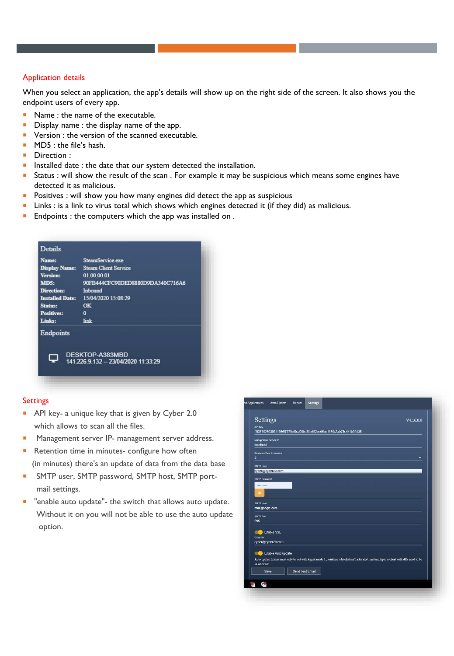# Application details

When you select an application, the app's details will show up on the right side of the screen. It also shows you the endpoint users of every app.

- Name : the name of the executable.
- **Display name : the display name of the app.**
- **Version : the version of the scanned executable.**
- MD5 : the file's hash.
- **Direction :**
- **Installed date : the date that our system detected the installation.**
- Status : will show the result of the scan . For example it may be suspicious which means some engines have detected it as malicious.
- **Positives : will show you how many engines did detect the app as suspicious**
- **Links : is a link to virus total which shows which engines detected it (if they did) as malicious.**
- **Endpoints : the computers which the app was installed on.**

## **Settings**

- **API** key- a unique key that is given by Cyber 2.0 which allows to scan all the files.
- Management server IP- management server address.
- Retention time in minutes- configure how often (in minutes) there's an update of data from the data base
- **SMTP** user, SMTP password, SMTP host, SMTP portmail settings.
- "enable auto update"- the switch that allows auto update. Without it on you will not be able to use the auto update option.

| API Key                                                 |  | f1f381026035311366f7970ef5cd05bc38a452eed6ee1180c2ab78c441b02d36                                                                      |
|---------------------------------------------------------|--|---------------------------------------------------------------------------------------------------------------------------------------|
| Management Server IP                                    |  |                                                                                                                                       |
| <b>localhost</b>                                        |  |                                                                                                                                       |
| <b>Retention Time In minutes</b>                        |  |                                                                                                                                       |
| 5                                                       |  | ۰                                                                                                                                     |
| <b>SMTP User</b>                                        |  |                                                                                                                                       |
| cyber@cyber20.com                                       |  |                                                                                                                                       |
| <b>SMTP Password</b>                                    |  |                                                                                                                                       |
|                                                         |  |                                                                                                                                       |
|                                                         |  |                                                                                                                                       |
| œ                                                       |  |                                                                                                                                       |
|                                                         |  |                                                                                                                                       |
|                                                         |  |                                                                                                                                       |
|                                                         |  |                                                                                                                                       |
|                                                         |  |                                                                                                                                       |
| SMTP Host<br>mail.google.com<br><b>SMTP Port</b><br>995 |  |                                                                                                                                       |
|                                                         |  |                                                                                                                                       |
| <b>Enable SSL</b>                                       |  |                                                                                                                                       |
| <b>Email To</b><br>cyber@cyber20.com                    |  |                                                                                                                                       |
|                                                         |  |                                                                                                                                       |
| Enable Auto update                                      |  |                                                                                                                                       |
| in whitelist.                                           |  | Auto update feature must only be set with Agent mode 1, winbase whitelist isn't activated, and multiple svchost with dil's need to be |